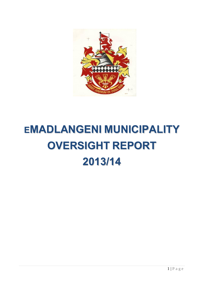

# **EMADLANGENI MUNICIPALITY OVERSIGHT REPORT 2013/14**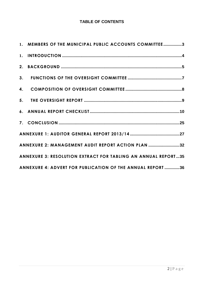# **TABLE OF CONTENTS**

| 1. MEMBERS OF THE MUNICIPAL PUBLIC ACCOUNTS COMMITTEE3        |
|---------------------------------------------------------------|
|                                                               |
|                                                               |
|                                                               |
|                                                               |
|                                                               |
|                                                               |
|                                                               |
|                                                               |
| ANNEXURE 2: MANAGEMENT AUDIT REPORT ACTION PLAN 32            |
| ANNEXURE 3: RESOLUTION EXTRACT FOR TABLING AN ANNUAL REPORT35 |
| ANNEXURE 4: ADVERT FOR PUBLICATION OF THE ANNUAL REPORT 36    |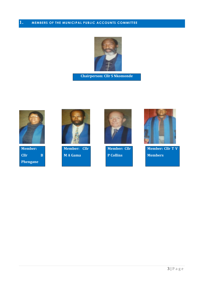<span id="page-2-0"></span>

**Chairperson: Cllr S Nkomonde**



**Member: Cllr B Phengane**



**Member: Cllr M A Gama**



**Member: Cllr P Collins**



**Member: Cllr T V Members**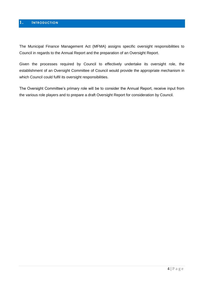# <span id="page-3-0"></span>**1. INTRODUCTION**

The Municipal Finance Management Act (MFMA) assigns specific oversight responsibilities to Council in regards to the Annual Report and the preparation of an Oversight Report.

Given the processes required by Council to effectively undertake its oversight role, the establishment of an Oversight Committee of Council would provide the appropriate mechanism in which Council could fulfil its oversight responsibilities.

The Oversight Committee's primary role will be to consider the Annual Report, receive input from the various role players and to prepare a draft Oversight Report for consideration by Council.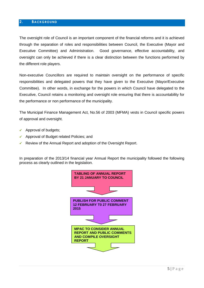# <span id="page-4-0"></span>**2. BACKGROUND**

The oversight role of Council is an important component of the financial reforms and it is achieved through the separation of roles and responsibilities between Council, the Executive (Mayor and Executive Committee) and Administration. Good governance, effective accountability, and oversight can only be achieved if there is a clear distinction between the functions performed by the different role players.

Non-executive Councillors are required to maintain oversight on the performance of specific responsibilities and delegated powers that they have given to the Executive (Mayor/Executive Committee). In other words, in exchange for the powers in which Council have delegated to the Executive, Council retains a monitoring and oversight role ensuring that there is accountability for the performance or non performance of the municipality.

The Municipal Finance Management Act, No.56 of 2003 (MFMA) vests in Council specific powers of approval and oversight.

- $\checkmark$  Approval of budgets;
- $\checkmark$  Approval of Budget related Policies; and
- Review of the Annual Report and adoption of the Oversight Report.

In preparation of the 2013/14 financial year Annual Report the municipality followed the following process as clearly outlined in the legislation.

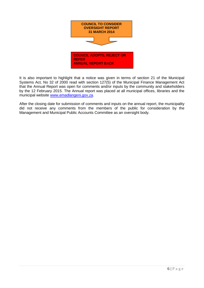

It is also important to highlight that a notice was given in terms of section 21 of the Municipal Systems Act, No 32 of 2000 read with section 127(5) of the Municipal Finance Management Act that the Annual Report was open for comments and/or inputs by the community and stakeholders by the 12 February 2015. The Annual report was placed at all municipal offices, libraries and the municipal website [www.emadlangeni.gov.za.](http://www.emadlangeni.gov.za/)

After the closing date for submission of comments and inputs on the annual report, the municipality did not receive any comments from the members of the public for consideration by the Management and Municipal Public Accounts Committee as an oversight body.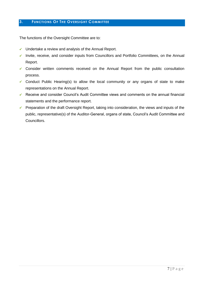# <span id="page-6-0"></span>**3. FUNCTIONS OF THE OVERSIGHT COMMITTEE**

The functions of the Oversight Committee are to:

- $\checkmark$  Undertake a review and analysis of the Annual Report.
- $\checkmark$  Invite, receive, and consider inputs from Councillors and Portfolio Committees, on the Annual Report.
- $\checkmark$  Consider written comments received on the Annual Report from the public consultation process.
- Conduct Public Hearing(s) to allow the local community or any organs of state to make representations on the Annual Report.
- $\checkmark$  Receive and consider Council's Audit Committee views and comments on the annual financial statements and the performance report.
- $\checkmark$  Preparation of the draft Oversight Report, taking into consideration, the views and inputs of the public, representative(s) of the Auditor-General, organs of state, Council's Audit Committee and Councillors.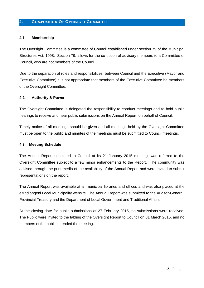## <span id="page-7-0"></span>**4. COMPOSITION OF OVERSIGHT COMMITTEE**

#### **4.1 Membership**

The Oversight Committee is a committee of Council established under section 79 of the Municipal Structures Act, 1998. Section 79, allows for the co-option of advisory members to a Committee of Council, who are not members of the Council.

Due to the separation of roles and responsibilities, between Council and the Executive (Mayor and Executive Committee) it is not appropriate that members of the Executive Committee be members of the Oversight Committee.

#### **4.2 Authority & Power**

The Oversight Committee is delegated the responsibility to conduct meetings and to hold public hearings to receive and hear public submissions on the Annual Report, on behalf of Council.

Timely notice of all meetings should be given and all meetings held by the Oversight Committee must be open to the public and minutes of the meetings must be submitted to Council meetings.

#### **4.3 Meeting Schedule**

The Annual Report submitted to Council at its 21 January 2015 meeting, was referred to the Oversight Committee subject to a few minor enhancements to the Report. The community was advised through the print media of the availability of the Annual Report and were invited to submit representations on the report.

The Annual Report was available at all municipal libraries and offices and was also placed at the eMadlangeni Local Municipality website. The Annual Report was submitted to the Auditor-General, Provincial Treasury and the Department of Local Government and Traditional Affairs.

At the closing date for public submissions of 27 February 2015, no submissions were received. The Public were invited to the tabling of the Oversight Report to Council on 31 March 2015, and no members of the public attended the meeting.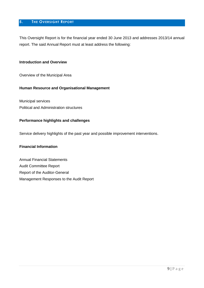# <span id="page-8-0"></span>**5. THE OVERSIGHT REPORT**

This Oversight Report is for the financial year ended 30 June 2013 and addresses 2013/14 annual report. The said Annual Report must at least address the following:

#### **Introduction and Overview**

Overview of the Municipal Area

#### **Human Resource and Organisational Management**

Municipal services Political and Administration structures

#### **Performance highlights and challenges**

Service delivery highlights of the past year and possible improvement interventions.

#### **Financial Information**

Annual Financial Statements Audit Committee Report Report of the Auditor-General Management Responses to the Audit Report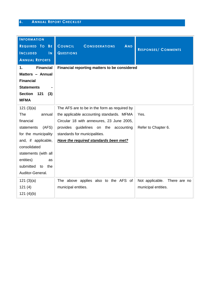# <span id="page-9-0"></span>**6. ANNUAL REPORT CHECKLIST**

| <b>INFORMATION</b>                         |                                                       |                                 |
|--------------------------------------------|-------------------------------------------------------|---------------------------------|
| REQUIRED TO BE                             | <b>COUNCIL</b><br><b>CONSIDERATIONS</b><br><b>AND</b> | <b>RESPONSES/ COMMENTS</b>      |
| <b>INCLUDED</b><br>$\overline{\mathsf{N}}$ | <b>QUESTIONS</b>                                      |                                 |
| <b>ANNUAL REPORTS</b>                      |                                                       |                                 |
| <b>Financial</b><br>1.                     | Financial reporting matters to be considered          |                                 |
| Matters - Annual                           |                                                       |                                 |
| <b>Financial</b>                           |                                                       |                                 |
| <b>Statements</b>                          |                                                       |                                 |
| <b>Section</b><br>121<br>(3)               |                                                       |                                 |
| <b>MFMA</b>                                |                                                       |                                 |
| 121(3)(a)                                  | The AFS are to be in the form as required by          |                                 |
| The<br>annual                              | the applicable accounting standards. MFMA             | Yes.                            |
| financial                                  | Circular 18 with annexures, 23 June 2005,             |                                 |
| (AFS)<br>statements                        | provides guidelines on the accounting                 | Refer to Chapter 6.             |
| for the municipality                       | standards for municipalities.                         |                                 |
| and, if applicable,                        | Have the required standards been met?                 |                                 |
| consolidated                               |                                                       |                                 |
| statements (with all                       |                                                       |                                 |
| entities)<br>as                            |                                                       |                                 |
| submitted<br>the<br>to                     |                                                       |                                 |
| Auditor-General.                           |                                                       |                                 |
| 121(3)(a)                                  | The above applies also to the AFS of                  | Not applicable.<br>There are no |
| 121(4)                                     | municipal entities.                                   | municipal entities.             |
| 121(4)(b)                                  |                                                       |                                 |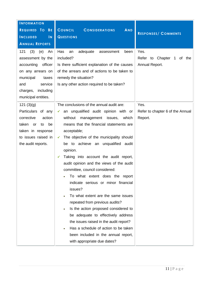| <b>INFORMATION</b><br>REQUIRED TO BE<br><b>INCLUDED</b><br>$\overline{\mathsf{N}}$<br><b>ANNUAL REPORTS</b><br>121<br>(3)<br>(e)<br>An<br>assessment by the<br>accounting<br>officer<br>on any arrears on<br>municipal<br>taxes<br>service<br>and<br>charges,<br>including<br>municipal entities. | <b>COUNCIL</b><br><b>AND</b><br><b>CONSIDERATIONS</b><br><b>QUESTIONS</b><br>Has<br>adequate<br>assessment<br>been<br>an<br>included?<br>Is there sufficient explanation of the causes<br>of the arrears and of actions to be taken to<br>remedy the situation?<br>Is any other action required to be taken?                                                                                                                                                                                                                                                                                                                                                                                                                                                                                                                           | <b>RESPONSES/ COMMENTS</b><br>Yes.<br>Refer to Chapter 1 of the<br>Annual Report. |
|---------------------------------------------------------------------------------------------------------------------------------------------------------------------------------------------------------------------------------------------------------------------------------------------------|----------------------------------------------------------------------------------------------------------------------------------------------------------------------------------------------------------------------------------------------------------------------------------------------------------------------------------------------------------------------------------------------------------------------------------------------------------------------------------------------------------------------------------------------------------------------------------------------------------------------------------------------------------------------------------------------------------------------------------------------------------------------------------------------------------------------------------------|-----------------------------------------------------------------------------------|
| 121(3)(g)<br>Particulars of any<br>corrective<br>action<br>taken<br>be<br>or<br>to<br>taken in response<br>to issues raised in<br>the audit reports.                                                                                                                                              | The conclusions of the annual audit are:<br>an unqualified audit opinion with or<br>$\checkmark$<br>without<br>management issues, which<br>means that the financial statements are<br>acceptable;<br>The objective of the municipality should<br>✓<br>be to achieve an unqualified audit<br>opinion.<br>Taking into account the audit report,<br>✔<br>audit opinion and the views of the audit<br>committee, council considered:<br>what extent does the report<br>٦٥.<br>indicate serious or minor financial<br>issues?<br>To what extent are the same issues<br>repeated from previous audits?<br>Is the action proposed considered to<br>be adequate to effectively address<br>the issues raised in the audit report?<br>Has a schedule of action to be taken<br>been included in the annual report,<br>with appropriate due dates? | Yes.<br>Refer to chapter 6 of the Annual<br>Report.                               |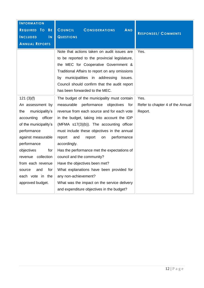| <b>INFORMATION</b><br>REQUIRED TO<br><b>BE</b><br>$\overline{\mathsf{N}}$<br><b>INCLUDED</b><br><b>ANNUAL REPORTS</b> | COUNCIL<br><b>CONSIDERATIONS</b><br><b>AND</b><br><b>QUESTIONS</b><br>Note that actions taken on audit issues are | <b>RESPONSES/ COMMENTS</b><br>Yes. |
|-----------------------------------------------------------------------------------------------------------------------|-------------------------------------------------------------------------------------------------------------------|------------------------------------|
|                                                                                                                       | to be reported to the provincial legislature,<br>the MEC for Cooperative Government &                             |                                    |
|                                                                                                                       | Traditional Affairs to report on any omissions<br>by municipalities in addressing issues.                         |                                    |
|                                                                                                                       | Council should confirm that the audit report<br>has been forwarded to the MEC.                                    |                                    |
| 121(3)(f)                                                                                                             | The budget of the municipality must contain                                                                       | Yes.                               |
| An assessment by                                                                                                      | performance<br>measurable<br>objectives<br>for                                                                    | Refer to chapter 4 of the Annual   |
| municipality's<br>the                                                                                                 | revenue from each source and for each vote                                                                        | Report.                            |
| accounting<br>officer                                                                                                 | in the budget, taking into account the IDP                                                                        |                                    |
| of the municipality's                                                                                                 | (MFMA s17(3)(b)). The accounting officer                                                                          |                                    |
| performance                                                                                                           | must include these objectives in the annual                                                                       |                                    |
| against measurable                                                                                                    | performance<br>report<br>and<br>report<br>on                                                                      |                                    |
| performance                                                                                                           | accordingly.                                                                                                      |                                    |
| objectives<br>for                                                                                                     | Has the performance met the expectations of                                                                       |                                    |
| revenue collection                                                                                                    | council and the community?                                                                                        |                                    |
| from each revenue                                                                                                     | Have the objectives been met?                                                                                     |                                    |
| for<br>and<br>source                                                                                                  | What explanations have been provided for                                                                          |                                    |
| each vote in the                                                                                                      | any non-achievement?                                                                                              |                                    |
| approved budget.                                                                                                      | What was the impact on the service delivery<br>and expenditure objectives in the budget?                          |                                    |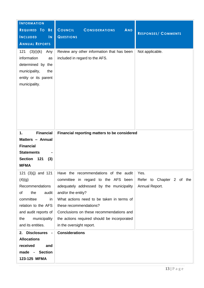| <b>INFORMATION</b>                                                                                                                                            |                                                                                                                                                                                                                                                                                                                                              |                                             |
|---------------------------------------------------------------------------------------------------------------------------------------------------------------|----------------------------------------------------------------------------------------------------------------------------------------------------------------------------------------------------------------------------------------------------------------------------------------------------------------------------------------------|---------------------------------------------|
| REQUIRED TO BE                                                                                                                                                | <b>COUNCIL</b><br><b>AND</b><br><b>CONSIDERATIONS</b>                                                                                                                                                                                                                                                                                        | <b>RESPONSES/ COMMENTS</b>                  |
| <b>INCLUDED</b><br>$\mathbf{N}$                                                                                                                               | <b>QUESTIONS</b>                                                                                                                                                                                                                                                                                                                             |                                             |
| <b>ANNUAL REPORTS</b>                                                                                                                                         |                                                                                                                                                                                                                                                                                                                                              |                                             |
| (3)(i)(k)<br>121<br>Any<br>information<br>as<br>determined by the<br>municipality,<br>the<br>entity or its parent<br>municipality.                            | Review any other information that has been<br>included in regard to the AFS.                                                                                                                                                                                                                                                                 | Not applicable.                             |
| <b>Financial</b><br>1.<br>Matters - Annual<br><b>Financial</b><br><b>Statements</b><br><b>Section</b><br>121<br>(3)<br><b>MFMA</b>                            | Financial reporting matters to be considered                                                                                                                                                                                                                                                                                                 |                                             |
| (4)(g)<br>Recommendations<br>of<br>the<br>audit<br>committee<br>in<br>relation to the AFS<br>and audit reports of<br>municipality<br>the<br>and its entities. | 121 (3)(j) and 121   Have the recommendations of the audit   Yes.<br>committee in regard to the AFS been<br>adequately addressed by the municipality<br>and/or the entity?<br>What actions need to be taken in terms of<br>these recommendations?<br>Conclusions on these recommendations and<br>the actions required should be incorporated | Refer to Chapter 2 of the<br>Annual Report. |
| 2. Disclosures -                                                                                                                                              | in the oversight report.<br><b>Considerations</b>                                                                                                                                                                                                                                                                                            |                                             |
| <b>Allocations</b>                                                                                                                                            |                                                                                                                                                                                                                                                                                                                                              |                                             |
| received<br>and                                                                                                                                               |                                                                                                                                                                                                                                                                                                                                              |                                             |
| <b>Section</b><br>made -                                                                                                                                      |                                                                                                                                                                                                                                                                                                                                              |                                             |
| 123-125 MFMA                                                                                                                                                  |                                                                                                                                                                                                                                                                                                                                              |                                             |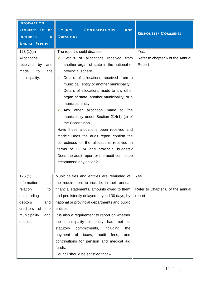| <b>INFORMATION</b><br>REQUIRED TO<br><b>BE</b><br><b>INCLUDED</b><br>$\overline{\mathsf{N}}$<br><b>ANNUAL REPORTS</b> | <b>COUNCIL</b><br><b>AND</b><br><b>CONSIDERATIONS</b><br><b>QUESTIONS</b>                                                                                                                                                                                                                                                                                                                                                                                                                                                                                                                                                                                                                                                                              | <b>RESPONSES/ COMMENTS</b>                         |
|-----------------------------------------------------------------------------------------------------------------------|--------------------------------------------------------------------------------------------------------------------------------------------------------------------------------------------------------------------------------------------------------------------------------------------------------------------------------------------------------------------------------------------------------------------------------------------------------------------------------------------------------------------------------------------------------------------------------------------------------------------------------------------------------------------------------------------------------------------------------------------------------|----------------------------------------------------|
| 123(1)(a)<br>Allocations<br>received<br>by<br>and<br>made<br>to<br>the<br>municipality.                               | The report should disclose:<br>Details of allocations received from<br>✔<br>another organ of state in the national or<br>provincial sphere.<br>Details of allocations received from a<br>✓<br>municipal, entity or another municipality.<br>Details of allocations made to any other<br>$\checkmark$<br>organ of state, another municipality, or a<br>municipal entity.<br>Any other allocation made to<br>the<br>$\checkmark$<br>municipality under Section 214(1) (c) of<br>the Constitution.<br>Have these allocations been received and<br>made? Does the audit report confirm the<br>correctness of the allocations received in<br>terms of DORA and provincial budgets?<br>Does the audit report or the audit committee<br>recommend any action? | Yes.<br>Refer to chapter 6 of the Annual<br>Report |
| 125(1)<br>Information<br>in                                                                                           | Municipalities and entities are reminded of<br>the requirement to include, in their annual                                                                                                                                                                                                                                                                                                                                                                                                                                                                                                                                                                                                                                                             | Yes                                                |
| relation<br>to<br>outstanding                                                                                         | financial statements, amounts owed to them<br>and persistently delayed beyond 30 days, by                                                                                                                                                                                                                                                                                                                                                                                                                                                                                                                                                                                                                                                              | Refer to Chapter 6 of the annual<br>report         |
| debtors<br>and<br>creditors<br>of<br>the<br>municipality<br>and<br>entities.                                          | national or provincial departments and public<br>entities.<br>It is also a requirement to report on whether<br>the municipality or entity has met<br>its<br>commitments,<br>including<br>statutory<br>the<br>audit<br>payment<br>Οf<br>taxes,<br>fees,<br>and<br>contributions for pension and medical aid<br>funds.<br>Council should be satisfied that -                                                                                                                                                                                                                                                                                                                                                                                             |                                                    |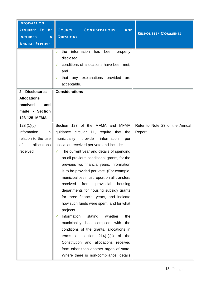| <b>INFORMATION</b><br>REQUIRED TO<br><b>BE</b><br><b>INCLUDED</b><br>$\mathsf{I}\mathsf{N}$<br><b>ANNUAL REPORTS</b> | <b>COUNCIL</b><br><b>AND</b><br><b>CONSIDERATIONS</b><br><b>QUESTIONS</b><br>information<br>the<br>has<br>properly<br>✓<br>been<br>disclosed;<br>conditions of allocations have been met;<br>✓<br>and<br>that any explanations<br>provided<br>are<br>acceptable.                                                                                                                                                                                                                                                                                                                                                                                                                                                                                                                                                                                                                                 | <b>RESPONSES/ COMMENTS</b>     |
|----------------------------------------------------------------------------------------------------------------------|--------------------------------------------------------------------------------------------------------------------------------------------------------------------------------------------------------------------------------------------------------------------------------------------------------------------------------------------------------------------------------------------------------------------------------------------------------------------------------------------------------------------------------------------------------------------------------------------------------------------------------------------------------------------------------------------------------------------------------------------------------------------------------------------------------------------------------------------------------------------------------------------------|--------------------------------|
| 2. Disclosures -<br><b>Allocations</b><br>received<br>and<br>made - Section<br>123-125 MFMA<br>123(1)(c)             | <b>Considerations</b><br>Section 123 of the MFMA and MFMA                                                                                                                                                                                                                                                                                                                                                                                                                                                                                                                                                                                                                                                                                                                                                                                                                                        | Refer to Note 23 of the Annual |
| Information<br>in<br>relation to the use<br>οf<br>allocations<br>received.                                           | guidance circular 11, require that the<br>provide<br>information<br>municipality<br>per<br>allocation received per vote and include:<br>The current year and details of spending<br>$\checkmark$<br>on all previous conditional grants, for the<br>previous two financial years. Information<br>is to be provided per vote. (For example,<br>municipalities must report on all transfers<br>received<br>from<br>provincial<br>housing<br>departments for housing subsidy grants<br>for three financial years, and indicate<br>how such funds were spent, and for what<br>projects.<br>Information<br>whether<br>stating<br>the<br>✔<br>municipality has complied with<br>the<br>conditions of the grants, allocations in<br>terms of section $214(1)(c)$<br>of the<br>Constitution and allocations received<br>from other than another organ of state.<br>Where there is non-compliance, details | Report.                        |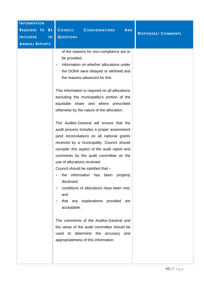| <b>INFORMATION</b><br>REQUIRED TO<br><b>BE</b><br>$\overline{\mathsf{N}}$<br><b>INCLUDED</b><br><b>ANNUAL REPORTS</b> | <b>COUNCIL</b><br><b>AND</b><br><b>CONSIDERATIONS</b><br><b>QUESTIONS</b>                                                                                                                                                                                                                                                                                                                                                                                                                                                                                                                                                                                                                                                                                                                                                                                                                                                                                                                                                                                                             | <b>RESPONSES/ COMMENTS</b> |
|-----------------------------------------------------------------------------------------------------------------------|---------------------------------------------------------------------------------------------------------------------------------------------------------------------------------------------------------------------------------------------------------------------------------------------------------------------------------------------------------------------------------------------------------------------------------------------------------------------------------------------------------------------------------------------------------------------------------------------------------------------------------------------------------------------------------------------------------------------------------------------------------------------------------------------------------------------------------------------------------------------------------------------------------------------------------------------------------------------------------------------------------------------------------------------------------------------------------------|----------------------------|
|                                                                                                                       | of the reasons for non-compliance are to<br>be provided.<br>Information on whether allocations under<br>✓<br>the DORA were delayed or withheld and<br>the reasons advanced for this.<br>This information is required on all allocations<br>excluding the municipality's portion of the<br>equitable share and where prescribed<br>otherwise by the nature of the allocation.<br>The Auditor-General will ensure that the<br>audit process includes a proper assessment<br>(and reconciliation) on all national grants<br>received by a municipality. Council should<br>consider this aspect of the audit report and<br>comments by the audit committee on the<br>use of allocations received.<br>Council should be satisfied that -<br>the information has been<br>properly<br>disclosed;<br>conditions of allocations have been met;<br>✓<br>and<br>that any explanations provided are<br>✓<br>acceptable.<br>The comments of the Auditor-General and<br>the views of the audit committee should be<br>used to determine the accuracy<br>and<br>appropriateness of this information. |                            |
|                                                                                                                       |                                                                                                                                                                                                                                                                                                                                                                                                                                                                                                                                                                                                                                                                                                                                                                                                                                                                                                                                                                                                                                                                                       |                            |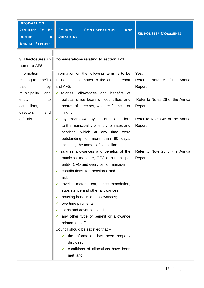| <b>INFORMATION</b><br>REQUIRED TO<br><b>BE</b> | <b>COUNCIL</b><br><b>AND</b><br><b>CONSIDERATIONS</b>   | <b>RESPONSES/ COMMENTS</b>      |
|------------------------------------------------|---------------------------------------------------------|---------------------------------|
| <b>INCLUDED</b><br>$\mathsf{I}\mathsf{N}$      | <b>QUESTIONS</b>                                        |                                 |
| <b>ANNUAL REPORTS</b>                          |                                                         |                                 |
|                                                |                                                         |                                 |
| 3. Disclosures in                              | <b>Considerations relating to section 124</b>           |                                 |
| notes to AFS                                   |                                                         |                                 |
| Information                                    | Information on the following items is to be             | Yes.                            |
| relating to benefits                           | included in the notes to the annual report              | Refer to Note 26 of the Annual  |
| paid<br>by                                     | and AFS:                                                | Report.                         |
| municipality<br>and                            | $\checkmark$ salaries, allowances and benefits of       |                                 |
| entity<br>to                                   | political office bearers, councillors and               | Refer to Notes 26 of the Annual |
| councillors,                                   | boards of directors, whether financial or               | Report.                         |
| directors<br>and                               | in kind;                                                |                                 |
| officials.                                     | $\checkmark$ any arrears owed by individual councillors | Refer to Notes 46 of the Annual |
|                                                | to the municipality or entity for rates and             | Report.                         |
|                                                | services, which at any time<br>were                     |                                 |
|                                                | outstanding for more than 90 days,                      |                                 |
|                                                | including the names of councillors;                     |                                 |
|                                                | $\checkmark$ salaries allowances and benefits of the    | Refer to Note 25 of the Annual  |
|                                                | municipal manager, CEO of a municipal                   | Report.                         |
|                                                | entity, CFO and every senior manager;                   |                                 |
|                                                | contributions for pensions and medical<br>✓             |                                 |
|                                                | aid;                                                    |                                 |
|                                                | travel,<br>motor<br>accommodation,<br>car,<br>✔         |                                 |
|                                                | subsistence and other allowances;                       |                                 |
|                                                | housing benefits and allowances;<br>✔                   |                                 |
|                                                | overtime payments;<br>✔                                 |                                 |
|                                                | loans and advances, and;<br>✔                           |                                 |
|                                                | any other type of benefit or allowance<br>✓             |                                 |
|                                                | related to staff.                                       |                                 |
|                                                | Council should be satisfied that -                      |                                 |
|                                                | the information has been properly<br>$\checkmark$       |                                 |
|                                                | disclosed;                                              |                                 |
|                                                | conditions of allocations have been                     |                                 |
|                                                | met; and                                                |                                 |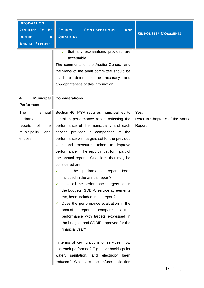| <b>INFORMATION</b>                        |                                                       |                                  |
|-------------------------------------------|-------------------------------------------------------|----------------------------------|
| REQUIRED TO BE                            | <b>COUNCIL</b><br><b>AND</b><br><b>CONSIDERATIONS</b> |                                  |
|                                           |                                                       | <b>RESPONSES/ COMMENTS</b>       |
| <b>INCLUDED</b><br>$\mathsf{I}\mathsf{N}$ | <b>QUESTIONS</b>                                      |                                  |
| <b>ANNUAL REPORTS</b>                     |                                                       |                                  |
|                                           | that any explanations provided are                    |                                  |
|                                           | acceptable.                                           |                                  |
|                                           | The comments of the Auditor-General and               |                                  |
|                                           | the views of the audit committee should be            |                                  |
|                                           | used to determine the accuracy<br>and                 |                                  |
|                                           | appropriateness of this information.                  |                                  |
|                                           |                                                       |                                  |
| <b>Municipal</b><br>4.                    | <b>Considerations</b>                                 |                                  |
| <b>Performance</b>                        |                                                       |                                  |
| <b>The</b><br>annual                      | Section 46, MSA requires municipalities to            | Yes.                             |
| performance                               | submit a performance report reflecting the            | Refer to Chapter 5 of the Annual |
| the<br>reports<br>of                      | performance of the municipality and each              | Report.                          |
| municipality<br>and                       | service provider, a comparison of the                 |                                  |
| entities.                                 | performance with targets set for the previous         |                                  |
|                                           | year and measures taken to improve                    |                                  |
|                                           | performance. The report must form part of             |                                  |
|                                           | the annual report. Questions that may be              |                                  |
|                                           | considered are -                                      |                                  |
|                                           | $\checkmark$ Has the performance report been          |                                  |
|                                           | included in the annual report?                        |                                  |
|                                           | Have all the performance targets set in<br>✔          |                                  |
|                                           | the budgets, SDBIP, service agreements                |                                  |
|                                           | etc, been included in the report?                     |                                  |
|                                           | Does the performance evaluation in the<br>✔           |                                  |
|                                           | actual<br>annual<br>report<br>compare                 |                                  |
|                                           | performance with targets expressed in                 |                                  |
|                                           | the budgets and SDBIP approved for the                |                                  |
|                                           | financial year?                                       |                                  |
|                                           |                                                       |                                  |
|                                           | In terms of key functions or services, how            |                                  |
|                                           | has each performed? E.g. have backlogs for            |                                  |
|                                           | water, sanitation, and electricity been               |                                  |
|                                           | reduced? What are the refuse collection               |                                  |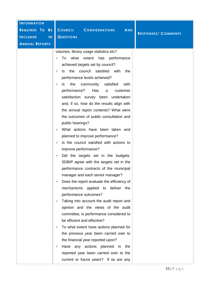| <b>INFORMATION</b>                         |                                                                                                                                                                                                                                                                                                                                                                                                                                                                                                                                                                                                                                                                                                                                                                                                                                                                                                                                                                                                                                                                                                                                                                                                                                                                                                                            |
|--------------------------------------------|----------------------------------------------------------------------------------------------------------------------------------------------------------------------------------------------------------------------------------------------------------------------------------------------------------------------------------------------------------------------------------------------------------------------------------------------------------------------------------------------------------------------------------------------------------------------------------------------------------------------------------------------------------------------------------------------------------------------------------------------------------------------------------------------------------------------------------------------------------------------------------------------------------------------------------------------------------------------------------------------------------------------------------------------------------------------------------------------------------------------------------------------------------------------------------------------------------------------------------------------------------------------------------------------------------------------------|
| REQUIRED TO<br><b>BE</b>                   | <b>COUNCIL</b><br><b>CONSIDERATIONS</b><br><b>AND</b><br><b>RESPONSES/ COMMENTS</b>                                                                                                                                                                                                                                                                                                                                                                                                                                                                                                                                                                                                                                                                                                                                                                                                                                                                                                                                                                                                                                                                                                                                                                                                                                        |
| <b>INCLUDED</b><br>$\overline{\mathsf{N}}$ | <b>QUESTIONS</b>                                                                                                                                                                                                                                                                                                                                                                                                                                                                                                                                                                                                                                                                                                                                                                                                                                                                                                                                                                                                                                                                                                                                                                                                                                                                                                           |
|                                            |                                                                                                                                                                                                                                                                                                                                                                                                                                                                                                                                                                                                                                                                                                                                                                                                                                                                                                                                                                                                                                                                                                                                                                                                                                                                                                                            |
| <b>ANNUAL REPORTS</b>                      | volumes, library usage statistics etc?<br>what extent<br>To<br>has<br>performance<br>achieved targets set by council?<br>the<br>council satisfied with<br>ls.<br>the<br>✓<br>performance levels achieved?<br>the<br>community<br>satisfied<br>ls.<br>with<br>✓<br>performance?<br>Has<br>customer<br>a<br>satisfaction survey been undertaken<br>and, if so, how do the results align with<br>the annual report contents? What were<br>the outcomes of public consultation and<br>public hearings?<br>What actions have been taken and<br>planned to improve performance?<br>Is the council satisfied with actions to<br>✓<br>improve performance?<br>Did the targets set in the budgets,<br>✓<br>SDBIP agree with the targets set in the<br>performance contracts of the municipal<br>manager and each senior manager?<br>Does the report evaluate the efficiency of<br>✔<br>mechanisms applied to deliver the<br>performance outcomes?<br>Taking into account the audit report and<br>✔<br>opinion and the views of the audit<br>committee, is performance considered to<br>be efficient and effective?<br>To what extent have actions planned for<br>✔<br>the previous year been carried over to<br>the financial year reported upon?<br>Have any actions planned in the<br>✔<br>reported year been carried over to the |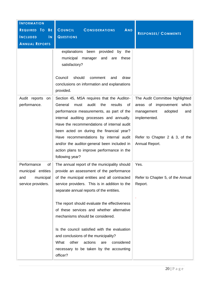| <b>INFORMATION</b><br>REQUIRED TO<br><b>BE</b><br><b>INCLUDED</b><br>$\mathsf{I}\mathsf{N}$<br><b>ANNUAL REPORTS</b> | <b>COUNCIL</b><br><b>CONSIDERATIONS</b><br><b>AND</b><br><b>QUESTIONS</b><br>explanations been<br>provided<br>by the                                                                                                                                                              | <b>RESPONSES/ COMMENTS</b>                                                                                       |
|----------------------------------------------------------------------------------------------------------------------|-----------------------------------------------------------------------------------------------------------------------------------------------------------------------------------------------------------------------------------------------------------------------------------|------------------------------------------------------------------------------------------------------------------|
|                                                                                                                      | municipal manager<br>and<br>are<br>these<br>satisfactory?<br>Council<br>should<br>draw<br>comment<br>and<br>conclusions on information and explanations<br>provided.                                                                                                              |                                                                                                                  |
| Audit reports<br>on<br>performance.                                                                                  | Section 45, MSA requires that the Auditor-<br>General<br>audit<br>the<br>results<br>must<br>οf<br>performance measurements, as part of the<br>internal auditing processes and annually.<br>Have the recommendations of internal audit<br>been acted on during the financial year? | The Audit Committee highlighted<br>areas of improvement<br>which<br>adopted<br>management<br>and<br>implemented. |
|                                                                                                                      | Have recommendations by internal audit<br>and/or the auditor-general been included in<br>action plans to improve performance in the<br>following year?                                                                                                                            | Refer to Chapter 2 & 3, of the<br>Annual Report.                                                                 |
| Performance<br>of<br>municipal entities<br>municipal<br>and<br>service providers.                                    | The annual report of the municipality should<br>provide an assessment of the performance<br>of the municipal entities and all contracted<br>service providers. This is in addition to the<br>separate annual reports of the entities.                                             | Yes.<br>Refer to Chapter 5, of the Annual<br>Report.                                                             |
|                                                                                                                      | The report should evaluate the effectiveness<br>of these services and whether alternative<br>mechanisms should be considered.                                                                                                                                                     |                                                                                                                  |
|                                                                                                                      | Is the council satisfied with the evaluation<br>and conclusions of the municipality?<br>What<br>other<br>actions<br>considered<br>are<br>necessary to be taken by the accounting<br>officer?                                                                                      |                                                                                                                  |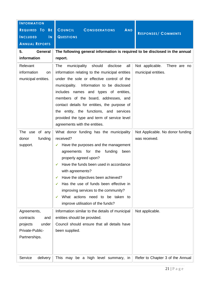| <b>INFORMATION</b><br>REQUIRED TO BE<br><b>INCLUDED</b><br>$\overline{\mathsf{N}}$<br><b>ANNUAL REPORTS</b><br><b>General</b><br>5. | <b>AND</b><br><b>COUNCIL</b><br><b>CONSIDERATIONS</b><br><b>QUESTIONS</b><br>The following general information is required to be disclosed in the annual                                                                                                                                                                                                                                                                                                          | <b>RESPONSES/ COMMENTS</b>                          |
|-------------------------------------------------------------------------------------------------------------------------------------|-------------------------------------------------------------------------------------------------------------------------------------------------------------------------------------------------------------------------------------------------------------------------------------------------------------------------------------------------------------------------------------------------------------------------------------------------------------------|-----------------------------------------------------|
| information                                                                                                                         | report.                                                                                                                                                                                                                                                                                                                                                                                                                                                           |                                                     |
| Relevant<br>information<br>on<br>municipal entities.                                                                                | The<br>should<br>disclose<br>municipality<br>all<br>information relating to the municipal entities<br>under the sole or effective control of the<br>municipality. Information to be disclosed<br>includes names and types of entities,<br>members of the board, addresses, and<br>contact details for entities, the purpose of<br>the entity, the functions, and services<br>provided the type and term of service level<br>agreements with the entities.         | Not applicable. There are no<br>municipal entities. |
| The use of any<br>funding<br>donor<br>support.                                                                                      | What donor funding has the municipality<br>received?<br>Have the purposes and the management<br>$\checkmark$<br>funding<br>agreements for the<br>been<br>properly agreed upon?<br>Have the funds been used in accordance<br>✓<br>with agreements?<br>Have the objectives been achieved?<br>✔<br>Has the use of funds been effective in<br>✔<br>improving services to the community?<br>What actions need to be taken to<br>✔<br>improve utilisation of the funds? | Not Applicable. No donor funding<br>was received.   |
| Agreements,<br>contracts<br>and<br>under<br>projects<br>Private-Public-<br>Partnerships.                                            | Information similar to the details of municipal<br>entities should be provided.<br>Council should ensure that all details have<br>been supplied.                                                                                                                                                                                                                                                                                                                  | Not applicable.                                     |
| Service<br>delivery                                                                                                                 | This may be a high level summary,<br>in.                                                                                                                                                                                                                                                                                                                                                                                                                          | Refer to Chapter 3 of the Annual                    |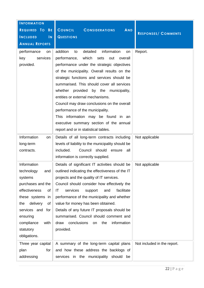| <b>INFORMATION</b>                        |                                                       |                             |
|-------------------------------------------|-------------------------------------------------------|-----------------------------|
| REQUIRED TO<br><b>BE</b>                  | <b>COUNCIL</b><br><b>CONSIDERATIONS</b><br><b>AND</b> |                             |
|                                           |                                                       | <b>RESPONSES/ COMMENTS</b>  |
| <b>INCLUDED</b><br>$\mathsf{I}\mathsf{N}$ | <b>QUESTIONS</b>                                      |                             |
| <b>ANNUAL REPORTS</b>                     |                                                       |                             |
| performance<br>on                         | detailed<br>information<br>addition<br>to<br>on       | Report.                     |
| services<br>key                           | which<br>performance,<br>sets<br>out<br>overall       |                             |
| provided.                                 | performance under the strategic objectives            |                             |
|                                           | of the municipality. Overall results on the           |                             |
|                                           | strategic functions and services should be            |                             |
|                                           | summarised. This should cover all services            |                             |
|                                           | provided by the municipality,<br>whether              |                             |
|                                           | entities or external mechanisms.                      |                             |
|                                           | Council may draw conclusions on the overall           |                             |
|                                           | performance of the municipality.                      |                             |
|                                           | This information may be found in an                   |                             |
|                                           | executive summary section of the annual               |                             |
|                                           | report and or in statistical tables.                  |                             |
| Information<br>on                         | Details of all long-term contracts including          | Not applicable              |
| long-term                                 | levels of liability to the municipality should be     |                             |
| contracts.                                | included.<br>Council should ensure<br>all             |                             |
|                                           | information is correctly supplied.                    |                             |
| Information                               | Details of significant IT activities should be        | Not applicable              |
| technology<br>and $ $                     | outlined indicating the effectiveness of the IT       |                             |
| systems                                   | projects and the quality of IT services.              |                             |
| purchases and the                         | Council should consider how effectively the           |                             |
| effectiveness<br>of                       | facilitate<br>ΙT<br>services<br>support<br>and        |                             |
| these systems<br>in                       | performance of the municipality and whether           |                             |
| delivery<br>the<br>of                     | value for money has been obtained.                    |                             |
| services and for                          | Details of any future IT proposals should be          |                             |
| ensuring                                  | summarised. Council should comment and                |                             |
| compliance<br>with                        | conclusions<br>information<br>draw<br>the<br>on       |                             |
| statutory                                 | provided.                                             |                             |
| obligations.                              |                                                       |                             |
| Three year capital                        | A summary of the long-term capital plans              | Not included in the report. |
| for<br>plan                               | and how these address the backlogs of                 |                             |
| addressing                                | services in the municipality should<br>be             |                             |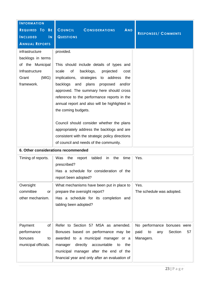| <b>INFORMATION</b><br>REQUIRED TO<br><b>BE</b><br><b>INCLUDED</b><br>$\mathsf{N}$<br><b>ANNUAL REPORTS</b> | <b>COUNCIL</b><br><b>AND</b><br><b>CONSIDERATIONS</b><br><b>QUESTIONS</b>                                                                                                                                                                                                                                                                                                                                                                                                                                                                                           | <b>RESPONSES/ COMMENTS</b>                                                     |  |
|------------------------------------------------------------------------------------------------------------|---------------------------------------------------------------------------------------------------------------------------------------------------------------------------------------------------------------------------------------------------------------------------------------------------------------------------------------------------------------------------------------------------------------------------------------------------------------------------------------------------------------------------------------------------------------------|--------------------------------------------------------------------------------|--|
| infrastructure<br>backlogs in terms<br>of the Municipal<br>Infrastructure<br>(MIG)<br>Grant<br>framework.  | provided.<br>This should include details of types and<br>scale<br>of<br>backlogs,<br>projected<br>cost<br>implications, strategies to<br>address<br>the<br>backlogs<br>and<br>plans<br>and/or<br>proposed<br>approved. The summary here should cross<br>reference to the performance reports in the<br>annual report and also will be highlighted in<br>the coming budgets.<br>Council should consider whether the plans<br>appropriately address the backlogs and are<br>consistent with the strategic policy directions<br>of council and needs of the community. |                                                                                |  |
|                                                                                                            | 6. Other considerations recommended                                                                                                                                                                                                                                                                                                                                                                                                                                                                                                                                 |                                                                                |  |
| Timing of reports.                                                                                         | Was<br>the<br>tabled<br>the<br>time<br>report<br>in<br>prescribed?<br>Has a schedule for consideration of the<br>report been adopted?                                                                                                                                                                                                                                                                                                                                                                                                                               | Yes.                                                                           |  |
| Oversight<br>committee<br>or<br>other mechanism.                                                           | What mechanisms have been put in place to<br>prepare the oversight report?<br>Has a schedule for its completion and<br>tabling been adopted?                                                                                                                                                                                                                                                                                                                                                                                                                        | Yes.<br>The schedule was adopted.                                              |  |
| Payment<br>of<br>performance<br>bonuses<br>to<br>municipal officials.                                      | Refer to Section 57 MSA as amended.<br>Bonuses based on performance may be<br>awarded to a municipal manager or a<br>directly<br>accountable<br>the<br>manager<br>to<br>municipal manager after the end of the<br>financial year and only after an evaluation of                                                                                                                                                                                                                                                                                                    | No performance bonuses were<br>paid<br>Section<br>57<br>to<br>any<br>Managers. |  |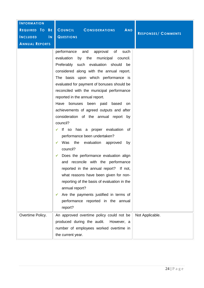| <b>INFORMATION</b>              |                                                                                                                                                                                                                                                                                                                                                                                                                                                                                                                                                                                                                                                                                                                                                                                                                                                                                                                                                                                  |                            |
|---------------------------------|----------------------------------------------------------------------------------------------------------------------------------------------------------------------------------------------------------------------------------------------------------------------------------------------------------------------------------------------------------------------------------------------------------------------------------------------------------------------------------------------------------------------------------------------------------------------------------------------------------------------------------------------------------------------------------------------------------------------------------------------------------------------------------------------------------------------------------------------------------------------------------------------------------------------------------------------------------------------------------|----------------------------|
| REQUIRED TO<br>B <sub>E</sub>   | <b>COUNCIL</b><br>AND<br><b>CONSIDERATIONS</b>                                                                                                                                                                                                                                                                                                                                                                                                                                                                                                                                                                                                                                                                                                                                                                                                                                                                                                                                   | <b>RESPONSES/ COMMENTS</b> |
| <b>INCLUDED</b><br>$\mathbf{N}$ | <b>QUESTIONS</b>                                                                                                                                                                                                                                                                                                                                                                                                                                                                                                                                                                                                                                                                                                                                                                                                                                                                                                                                                                 |                            |
| <b>ANNUAL REPORTS</b>           |                                                                                                                                                                                                                                                                                                                                                                                                                                                                                                                                                                                                                                                                                                                                                                                                                                                                                                                                                                                  |                            |
|                                 | and<br>approval<br>of<br>performance<br>such<br>evaluation<br>by<br>the<br>municipal<br>council.<br>Preferably such<br>evaluation should<br>be<br>considered along with the annual report.<br>The basis upon which performance is<br>evaluated for payment of bonuses should be<br>reconciled with the municipal performance<br>reported in the annual report.<br>Have<br>bonuses been paid<br>based<br>on<br>achievements of agreed outputs and after<br>consideration of the annual report by<br>council?<br>If so has a proper evaluation of<br>performance been undertaken?<br>the evaluation approved<br>Was<br>by<br>✓<br>council?<br>Does the performance evaluation align<br>✓<br>and reconcile with the performance<br>reported in the annual report? If not,<br>what reasons have been given for non-<br>reporting of the basis of evaluation in the<br>annual report?<br>Are the payments justified in terms of<br>✔<br>performance reported in the annual<br>report? |                            |
| Overtime Policy.                | An approved overtime policy could not be<br>produced during the audit.<br>However, a<br>number of employees worked overtime in<br>the current year.                                                                                                                                                                                                                                                                                                                                                                                                                                                                                                                                                                                                                                                                                                                                                                                                                              | Not Applicable.            |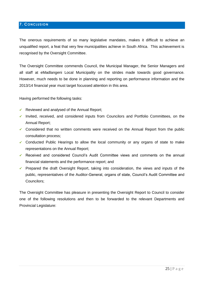# <span id="page-24-0"></span>**7. CONCLUSION**

The onerous requirements of so many legislative mandates, makes it difficult to achieve an unqualified report, a feat that very few municipalities achieve in South Africa. This achievement is recognised by the Oversight Committee.

The Oversight Committee commends Council, the Municipal Manager, the Senior Managers and all staff at eMadlangeni Local Municipality on the strides made towards good governance. However, much needs to be done in planning and reporting on performance information and the 2013/14 financial year must target focussed attention in this area.

Having performed the following tasks:

- $\checkmark$  Reviewed and analysed of the Annual Report;
- $\checkmark$  Invited, received, and considered inputs from Councilors and Portfolio Committees, on the Annual Report;
- $\checkmark$  Considered that no written comments were received on the Annual Report from the public consultation process;
- $\checkmark$  Conducted Public Hearings to allow the local community or any organs of state to make representations on the Annual Report;
- Received and considered Council's Audit Committee views and comments on the annual financial statements and the performance report; and
- **Prepared the draft Oversight Report, taking into consideration, the views and inputs of the** public, representatives of the Auditor-General, organs of state, Council's Audit Committee and Councilors;

The Oversight Committee has pleasure in presenting the Oversight Report to Council to consider one of the following resolutions and then to be forwarded to the relevant Departments and Provincial Legislature: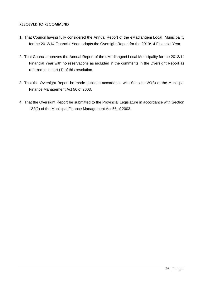## **RESOLVED TO RECOMMEND**

- **1.** That Council having fully considered the Annual Report of the eMadlangeni Local Municipality for the 2013/14 Financial Year, adopts the Oversight Report for the 2013/14 Financial Year.
- 2. That Council approves the Annual Report of the eMadlangeni Local Municipality for the 2013/14 Financial Year with no reservations as included in the comments in the Oversight Report as referred to in part (1) of this resolution.
- 3. That the Oversight Report be made public in accordance with Section 129(3) of the Municipal Finance Management Act 56 of 2003.
- 4. That the Oversight Report be submitted to the Provincial Legislature in accordance with Section 132(2) of the Municipal Finance Management Act 56 of 2003.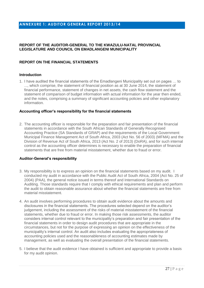#### <span id="page-26-0"></span>**ANNEXURE 1: AUDITOR GENERAL REPORT 2013/14**

#### **REPORT OF THE AUDITOR-GENERAL TO THE KWAZULU-NATAL PROVINCIAL LEGISLATURE AND COUNCIL ON EMADLANGENI MUNICIPALITY**

# **REPORT ON THE FINANCIAL STATEMENTS**

#### **Introduction**

1. I have audited the financial statements of the Emadlangeni Municipality set out on pages … to ..., which comprise, the statement of financial position as at 30 June 2014, the statement of financial performance, statement of changes in net assets, the cash flow statement and the statement of comparison of budget information with actual information for the year then ended, and the notes, comprising a summary of significant accounting policies and other explanatory information.

#### **Accounting officer's responsibility for the financial statements**

2. The accounting officer is responsible for the preparation and fair presentation of the financial statements in accordance with the South African Standards of Generally Recognised Accounting Practice (SA Standards of GRAP) and the requirements of the Local Government: Municipal Finance Management Act of South Africa, 2003 (Act No. 56 of 2003) (MFMA) and the Division of Revenue Act of South Africa, 2013 (Act No. 2 of 2013) (DoRA), and for such internal control as the accounting officer determines is necessary to enable the preparation of financial statements that are free from material misstatement, whether due to fraud or error.

#### **Auditor-General's responsibility**

- 3. My responsibility is to express an opinion on the financial statements based on my audit. I conducted my audit in accordance with the Public Audit Act of South Africa, 2004 (Act No. 25 of 2004) (PAA), the general notice issued in terms thereof and International Standards on Auditing. Those standards require that I comply with ethical requirements and plan and perform the audit to obtain reasonable assurance about whether the financial statements are free from material misstatement.
- 4. An audit involves performing procedures to obtain audit evidence about the amounts and disclosures in the financial statements. The procedures selected depend on the auditor's judgement, including the assessment of the risks of material misstatement of the financial statements, whether due to fraud or error. In making those risk assessments, the auditor considers internal control relevant to the municipality's preparation and fair presentation of the financial statements in order to design audit procedures that are appropriate in the circumstances, but not for the purpose of expressing an opinion on the effectiveness of the municipality's internal control. An audit also includes evaluating the appropriateness of accounting policies used and the reasonableness of accounting estimates made by management, as well as evaluating the overall presentation of the financial statements.
- 5. I believe that the audit evidence I have obtained is sufficient and appropriate to provide a basis for my audit opinion.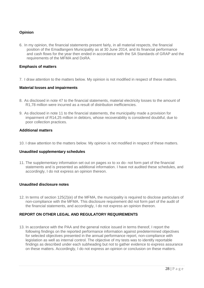# **Opinion**

6. In my opinion, the financial statements present fairly, in all material respects, the financial position of the Emadlangeni Municipality as at 30 June 2014, and its financial performance and cash flows for the year then ended in accordance with the SA Standards of GRAP and the requirements of the MFMA and DoRA.

#### **Emphasis of matters**

7. I draw attention to the matters below. My opinion is not modified in respect of these matters.

#### **Material losses and impairments**

- 8. As disclosed in note 47 to the financial statements, material electricity losses to the amount of R1,78 million were incurred as a result of distribution inefficiencies.
- 9. As disclosed in note 11 to the financial statements, the municipality made a provision for impairment of R14,25 million in debtors, whose recoverability is considered doubtful, due to poor collection practices.

#### **Additional matters**

10. I draw attention to the matters below. My opinion is not modified in respect of these matters.

#### **Unaudited supplementary schedules**

11. The supplementary information set out on pages xx to xx do- not form part of the financial statements and is presented as additional information. I have not audited these schedules, and accordingly, I do not express an opinion thereon.

#### **Unaudited disclosure notes**

12. In terms of section 125(2)(e) of the MFMA, the municipality is required to disclose particulars of non-compliance with the MFMA. This disclosure requirement did not form part of the audit of the financial statements, and accordingly, I do not express an opinion thereon.

#### **REPORT ON OTHER LEGAL AND REGULATORY REQUIREMENTS**

13. In accordance with the PAA and the general notice issued in terms thereof, I report the following findings on the reported performance information against predetermined objectives for selected objectives presented in the annual performance report, non-compliance with legislation as well as internal control. The objective of my tests was to identify reportable findings as described under each subheading but not to gather evidence to express assurance on these matters. Accordingly, I do not express an opinion or conclusion on these matters.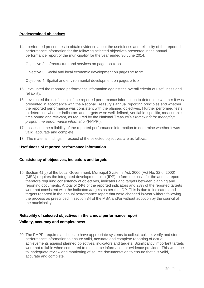# **Predetermined objectives**

14. I performed procedures to obtain evidence about the usefulness and reliability of the reported performance information for the following selected objectives presented in the annual performance report of the municipality for the year ended 30 June 2014.

Objective 2: Infrastructure and services on pages xx to xx

Objective 3: Social and local economic development on pages xx to xx

Objective 4: Spatial and environmental development on pages x to x

- 15. I evaluated the reported performance information against the overall criteria of usefulness and reliability.
- 16. I evaluated the usefulness of the reported performance information to determine whether it was presented in accordance with the National Treasury's annual reporting principles and whether the reported performance was consistent with the planned objectives. I further performed tests to determine whether indicators and targets were well defined, verifiable, specific, measurable, time bound and relevant, as required by the National Treasury's *Framework for managing programme performance information*(FMPPI).
- 17. I assessed the reliability of the reported performance information to determine whether it was valid, accurate and complete.
- 18. The material findings in respect of the selected objectives are as follows:

#### **Usefulness of reported performance information**

#### **Consistency of objectives, indicators and targets**

19. Section 41(c) of the Local Government: Municipal Systems Act, 2000 (Act No. 32 of 2000) (MSA) requires the integrated development plan (IDP) to form the basis for the annual report, therefore requiring consistency of objectives, indicators and targets between planning and reporting documents. A total of 24% of the reported indicators and 28% of the reported targets were not consistent with the indicators/targets as per the IDP. This is due to indicators and targets reported in the annual performance report that were changed in-year without following the process as prescribed in section 34 of the MSA and/or without adoption by the council of the municipality.

# **Reliability of selected objectives in the annual performance report**

#### **Validity, accuracy and completeness**

20. The FMPPI requires auditees to have appropriate systems to collect, collate, verify and store performance information to ensure valid, accurate and complete reporting of actual achievements against planned objectives, indicators and targets. Significantly important targets were not reliable when compared to the source information or evidence provided. This was due to inadequate review and monitoring of source documentation to ensure that it is valid, accurate and complete.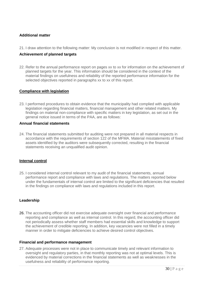## **Additional matter**

21. I draw attention to the following matter: My conclusion is not modified in respect of this matter.

#### **Achievement of planned targets**

22. Refer to the annual performance report on pages xx to xx for information on the achievement of planned targets for the year. This information should be considered in the context of the material findings on usefulness and reliability of the reported performance information for the selected objectives reported in paragraphs xx to xx of this report.

#### **Compliance with legislation**

23. I performed procedures to obtain evidence that the municipality had complied with applicable legislation regarding financial matters, financial management and other related matters. My findings on material non-compliance with specific matters in key legislation, as set out in the general notice issued in terms of the PAA, are as follows:

#### **Annual financial statements**

24. The financial statements submitted for auditing were not prepared in all material respects in accordance with the requirements of section 122 of the MFMA. Material misstatements of fixed assets identified by the auditors were subsequently corrected, resulting in the financial statements receiving an unqualified audit opinion.

#### **Internal control**

25. I considered internal control relevant to my audit of the financial statements, annual performance report and compliance with laws and regulations. The matters reported below under the fundamentals of internal control are limited to the significant deficiencies that resulted in the findings on compliance with laws and regulations included in this report.

#### **Leadership**

26. The accounting officer did not exercise adequate oversight over financial and performance reporting and compliance as well as internal control. In this regard, the accounting officer did not periodically assess whether staff members had essential skills and knowledge to support the achievement of credible reporting. In addition, key vacancies were not filled in a timely manner in order to mitigate deficiencies to achieve desired control objectives.

#### **Financial and performance management**

27. Adequate processes were not in place to communicate timely and relevant information to oversight and regulatory parties, in that monthly reporting was not at optimal levels. This is evidenced by material corrections in the financial statements as well as weaknesses in the usefulness and reliability of performance reporting.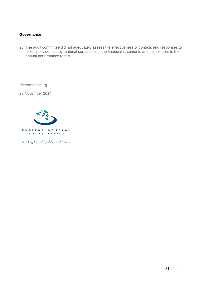#### **Governance**

28. The audit committee did not adequately assess the effectiveness of controls and responses to risks, as evidenced by material corrections in the financial statements and deficiencies in the annual performance report.

Pietermaritzburg

28 November 2014



Auditing to build public confidence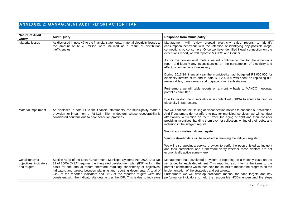# **ANNEXURE 2: MANAGEMENT AUDIT REPORT ACTION PLAN**

<span id="page-31-0"></span>

| <b>Nature of Audit</b><br>Query                         | <b>Audit Query</b>                                                                                                                                                                                                                                                                                                                                                                                                                                                                       | <b>Response from Municipality</b>                                                                                                                                                                                                                                                                                                                                                                                                                      |
|---------------------------------------------------------|------------------------------------------------------------------------------------------------------------------------------------------------------------------------------------------------------------------------------------------------------------------------------------------------------------------------------------------------------------------------------------------------------------------------------------------------------------------------------------------|--------------------------------------------------------------------------------------------------------------------------------------------------------------------------------------------------------------------------------------------------------------------------------------------------------------------------------------------------------------------------------------------------------------------------------------------------------|
| Material losses                                         | As disclosed in note 47 to the financial statements, material electricity losses to<br>the amount of R1,78 million were incurred as a result of distribution<br>inefficiencies                                                                                                                                                                                                                                                                                                           | Management will review prepaid electricity sales reports to identify<br>consumption behaviour with the intention of identifying any possible illegal<br>connections by consumers. Once we have identified illegal connection on the<br>exceptions report, we will report to MANCO and Council.                                                                                                                                                         |
|                                                         |                                                                                                                                                                                                                                                                                                                                                                                                                                                                                          | As for the conventional meters we will continue to monitor the exceptions<br>report and identify any inconsistencies on the consumption of electricity and<br>effect disconnections if necessary.                                                                                                                                                                                                                                                      |
|                                                         |                                                                                                                                                                                                                                                                                                                                                                                                                                                                                          | During 2013/14 financial year the municipality had budgeted R3 000 000 for<br>electricity infrastructure and to date R 1 200 000 was spent on replacing 800<br>meter cables, transformers and upgrade of mini sub stations.                                                                                                                                                                                                                            |
|                                                         |                                                                                                                                                                                                                                                                                                                                                                                                                                                                                          | Furthermore we will table reports on a monthly basis to MANCO meetings,<br>portfolio committee                                                                                                                                                                                                                                                                                                                                                         |
|                                                         |                                                                                                                                                                                                                                                                                                                                                                                                                                                                                          | Due to backlog the municipality is in contact with DBSA to source funding for<br>electricity infrastructure.                                                                                                                                                                                                                                                                                                                                           |
| Material Impairment                                     | As disclosed in note 11 to the financial statements, the municipality made a<br>provision for impairment of R14,25 million in debtors, whose recoverability is<br>considered doubtful, due to poor collection practices                                                                                                                                                                                                                                                                  | We will continue the issuing of disconnection notices to enhance our collection.<br>And if customers do not afford to pay for municipal services, we will conduct<br>affordability verification on them, trace the aging of debt and then consider<br>providing incentives, handing them over for collection, writing of their debts and<br>inclusion in the indigent register.                                                                        |
|                                                         |                                                                                                                                                                                                                                                                                                                                                                                                                                                                                          | We will also finalise indigent register.                                                                                                                                                                                                                                                                                                                                                                                                               |
|                                                         |                                                                                                                                                                                                                                                                                                                                                                                                                                                                                          | Various stakeholders will be involved in finalising the indigent register                                                                                                                                                                                                                                                                                                                                                                              |
|                                                         |                                                                                                                                                                                                                                                                                                                                                                                                                                                                                          | We will also appoint a service provider to verify the people listed as indigent<br>and their credentials and furthermore verify whether those debtors are not<br>economically active somewhere.                                                                                                                                                                                                                                                        |
| Consistency of<br>objectives, indicators<br>and targets | Section 41(c) of the Local Government: Municipal Systems Act, 2000 (Act No.<br>32 of 2000) (MSA) requires the integrated development plan (IDP) to form the<br>basis for the annual report, therefore requiring consistency of objectives,<br>indicators and targets between planning and reporting documents. A total of<br>24% of the reported indicators and 28% of the reported targets were not<br>consistent with the indicators/targets as per the IDP. This is due to indicators | Management has developed a system of reporting on a monthly basis on the<br>set target for each department. This reporting also informs the items to the<br>portfolio committees which then help the council to monitor the progress on the<br>implementation of the strategies and set targets.<br>Furthermore we will develop procedure manual for each targets and key<br>performance indicators to help the responsible HOD's understand the steps |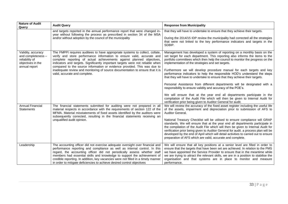| <b>Nature of Audit</b><br>Query                                                                  | <b>Audit Query</b>                                                                                                                                                                                                                                                                                                                                                                                                                                                                                              | <b>Response from Municipality</b>                                                                                                                                                                                                                                                                                                                                                                                                                                                                                                                                                                                                                                                                                                                                                                                                           |
|--------------------------------------------------------------------------------------------------|-----------------------------------------------------------------------------------------------------------------------------------------------------------------------------------------------------------------------------------------------------------------------------------------------------------------------------------------------------------------------------------------------------------------------------------------------------------------------------------------------------------------|---------------------------------------------------------------------------------------------------------------------------------------------------------------------------------------------------------------------------------------------------------------------------------------------------------------------------------------------------------------------------------------------------------------------------------------------------------------------------------------------------------------------------------------------------------------------------------------------------------------------------------------------------------------------------------------------------------------------------------------------------------------------------------------------------------------------------------------------|
|                                                                                                  | and targets reported in the annual performance report that were changed in-<br>year without following the process as prescribed in section 34 of the MSA<br>and/or without adoption by the council of the municipality                                                                                                                                                                                                                                                                                          | that they will have to undertake to ensure that they achieve their targets.<br>During the 2014/15 IDP review the municipality had corrected all the strategies<br>that were not linked to the key performance indicators and targets in the<br>SDBIP.                                                                                                                                                                                                                                                                                                                                                                                                                                                                                                                                                                                       |
| Validity, accuracy<br>and completeness -<br>reliability of<br>objectives in the<br>annual report | The FMPPI requires auditees to have appropriate systems to collect, collate,<br>verify and store performance information to ensure valid, accurate and<br>complete reporting of actual achievements against planned objectives,<br>indicators and targets. Significantly important targets were not reliable when<br>compared to the source information or evidence provided. This was due to<br>inadequate review and monitoring of source documentation to ensure that it is<br>valid, accurate and complete. | Management has developed a system of reporting on a monthly basis on the<br>set target for each department. This reporting also informs the items to the<br>portfolio committees which then help the council to monitor the progress on the<br>implementation of the strategies and set targets.<br>Furthermore we will develop procedure manual for each targets and key<br>performance indicators to help the responsible HOD's understand the steps<br>that they will have to undertake to ensure that they achieve their targets.<br>Personal Assistance from different departments will be designated with a<br>responsibility to ensure validity and accuracy of the POE's.<br>We will ensure that at the year end all departments participate in the<br>compilation of the Audit File which will then be given to Internal Audit for |
| Annual Financial<br><b>Statements</b>                                                            | The financial statements submitted for auditing were not prepared in all<br>material respects in accordance with the requirements of section 122 of the<br>MFMA. Material misstatements of fixed assets identified by the auditors were<br>subsequently corrected, resulting in the financial statements receiving an<br>unqualified audit opinion.                                                                                                                                                             | verification prior being given to Auditor General for audit.<br>We will review the accuracy of the fixed asset register including the useful life<br>of the assets, impairment and depreciation prior to submission of AFS to<br>Auditor General.<br>National Treasury Checklist will be utilised to ensure compliance will GRAP<br>standards. We will ensure that at the year end all departments participate in<br>the compilation of the Audit File which will then be given to Internal Audit for<br>verification prior being given to Auditor General for audit. a process plan will be<br>developed by the end of April which will detail activities to carried out to ensure<br>preparation of AFS which are valid, accurate and complete.                                                                                           |
| Leadership                                                                                       | The accounting officer did not exercise adequate oversight over financial and<br>performance reporting and compliance as well as internal control. In this<br>regard, the accounting officer did not periodically assess whether staff<br>members had essential skills and knowledge to support the achievement of<br>credible reporting. In addition, key vacancies were not filled in a timely manner<br>in order to mitigate deficiencies to achieve desired control objectives                              | We will ensure that all key positions at a senior level are filled in order to<br>ensure that the targets that have been set are achieved. In relation to the PMS<br>we have appointed the Service Provider to ensure that in the meantime while<br>we are trying to attract the relevant skills, we are in a position to stabilise the<br>organisation and that systems are in place to monitor and measure<br>performance.                                                                                                                                                                                                                                                                                                                                                                                                                |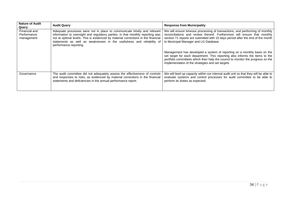| <b>Nature of Audit</b><br>Query            | <b>Audit Query</b>                                                                                                                                                                                                                                                                                                                                | <b>Response from Municipality</b>                                                                                                                                                                                                                                                               |
|--------------------------------------------|---------------------------------------------------------------------------------------------------------------------------------------------------------------------------------------------------------------------------------------------------------------------------------------------------------------------------------------------------|-------------------------------------------------------------------------------------------------------------------------------------------------------------------------------------------------------------------------------------------------------------------------------------------------|
| Financial and<br>Performance<br>management | Adequate processes were not in place to communicate timely and relevant<br>information to oversight and regulatory parties, in that monthly reporting was<br>not at optimal levels. This is evidenced by material corrections in the financial<br>statements as well as weaknesses in the usefulness and reliability of<br>performance reporting. | We will ensure timeous processing of transactions, and performing of monthly<br>reconciliations and review thereof. Furthermore will ensure that monthly<br>section 71 reports are submitted with 10 days period after the end of the month<br>to Municipal Manager and LG Database.            |
|                                            |                                                                                                                                                                                                                                                                                                                                                   | Management has developed a system of reporting on a monthly basis on the<br>set target for each department. This reporting also informs the items to the<br>portfolio committees which then help the council to monitor the progress on the<br>implementation of the strategies and set targets |
| Governance                                 | The audit committee did not adequately assess the effectiveness of controls<br>and responses to risks, as evidenced by material corrections in the financial<br>statements and deficiencies in the annual performance report.                                                                                                                     | We will beef up capacity within our internal audit unit so that they will be able to<br>evaluate systems and control processes for audit committee to be able to<br>perform its duties as expected.                                                                                             |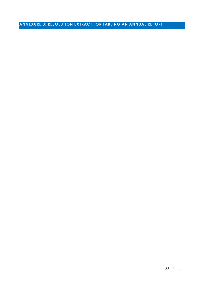# <span id="page-34-0"></span>**ANNEXURE 3: RESOLUTION EXTRACT FOR TABLING AN ANNUAL REPORT**